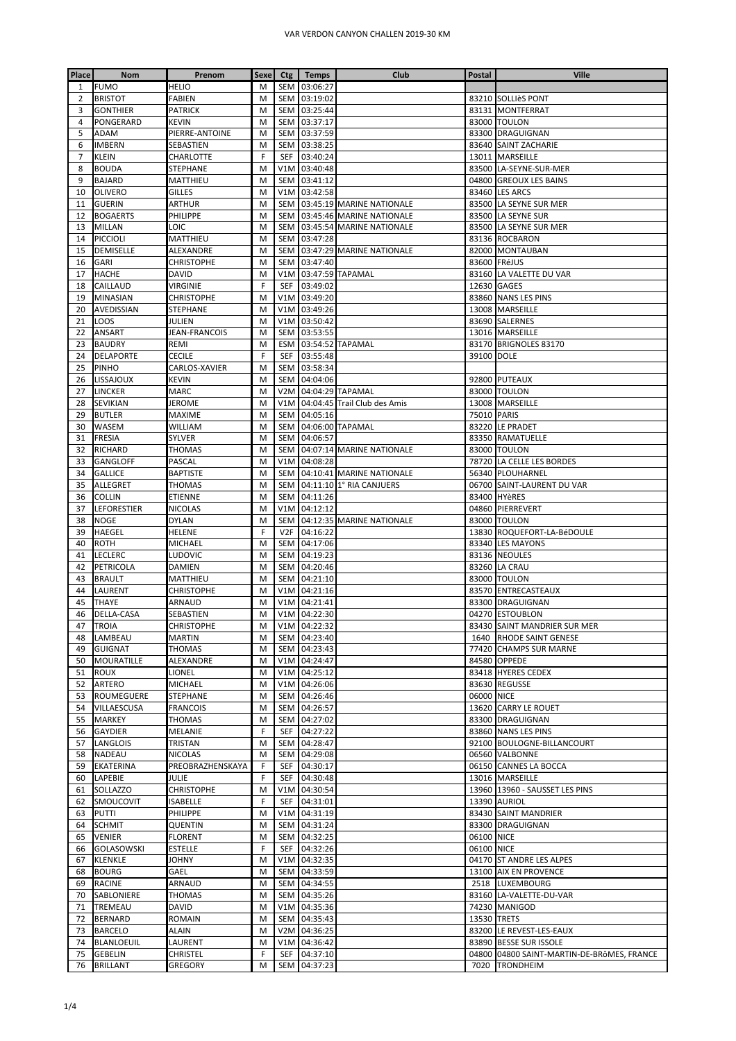| Place          | <b>Nom</b>                          | Prenom            | <b>Sexe</b> | Ctg                     | <b>Temps</b>         | Club                         | Postal      | Ville                                              |
|----------------|-------------------------------------|-------------------|-------------|-------------------------|----------------------|------------------------------|-------------|----------------------------------------------------|
| 1              | <b>FUMO</b>                         | <b>HELIO</b>      | M           | <b>SEM</b>              | 03:06:27             |                              |             |                                                    |
| 2              | <b>BRISTOT</b>                      | <b>FABIEN</b>     | M           | SEM                     | 03:19:02             |                              |             | 83210 SOLLIÈS PONT                                 |
| 3              | <b>GONTHIER</b>                     | <b>PATRICK</b>    | M           | SEM                     | 03:25:44             |                              |             | 83131 MONTFERRAT                                   |
| 4              | PONGERARD                           | KEVIN             | M           | <b>SEM</b>              | 03:37:17             |                              |             | 83000 TOULON                                       |
| 5              | ADAM                                | PIERRE-ANTOINE    | M           | <b>SEM</b>              | 03:37:59             |                              |             | 83300 DRAGUIGNAN                                   |
| 6              | <b>IMBERN</b>                       | SEBASTIEN         | M           | SEM                     | 03:38:25             |                              |             | 83640 SAINT ZACHARIE                               |
| $\overline{7}$ | KLEIN                               | CHARLOTTE         | F           | <b>SEF</b>              | 03:40:24             |                              |             | 13011 MARSEILLE                                    |
| 8              | <b>BOUDA</b>                        | STEPHANE          | M           | V1M                     | 03:40:48             |                              |             | 83500 LA-SEYNE-SUR-MER                             |
| 9              | <b>BAJARD</b>                       | MATTHIEU          | M           | SEM                     | 03:41:12             |                              |             | 04800 GREOUX LES BAINS                             |
| 10             | <b>OLIVERO</b>                      | <b>GILLES</b>     | M           | V1M                     | 03:42:58             |                              |             | 83460 LES ARCS                                     |
| 11             | <b>GUERIN</b>                       | <b>ARTHUR</b>     | M           | SEM                     |                      | 03:45:19 MARINE NATIONALE    |             | 83500 LA SEYNE SUR MER                             |
| 12             | <b>BOGAERTS</b>                     | PHILIPPE          | M           | <b>SEM</b>              |                      | 03:45:46 MARINE NATIONALE    |             | 83500 LA SEYNE SUR                                 |
| 13             | <b>MILLAN</b>                       | LOIC              | M           | <b>SEM</b>              |                      | 03:45:54 MARINE NATIONALE    |             | 83500 LA SEYNE SUR MER                             |
| 14             | <b>PICCIOLI</b>                     | MATTHIEU          | M           | SEM                     | 03:47:28             |                              |             | 83136 ROCBARON                                     |
| 15             | <b>DEMISELLE</b>                    | ALEXANDRE         | M           | SEM                     |                      | 03:47:29 MARINE NATIONALE    |             | 82000 MONTAUBAN                                    |
| 16             | GARI                                | <b>CHRISTOPHE</b> | M           | <b>SEM</b>              | 03:47:40             |                              |             | 83600 FRéJUS                                       |
| 17             | <b>HACHE</b>                        | DAVID             | M           | V1M                     |                      | 03:47:59 TAPAMAL             |             | 83160 LA VALETTE DU VAR                            |
| 18             | CAILLAUD                            | <b>VIRGINIE</b>   | F           | SEF                     | 03:49:02             |                              |             | 12630 GAGES                                        |
| 19             | <b>MINASIAN</b>                     | <b>CHRISTOPHE</b> | M           | V1M                     | 03:49:20             |                              |             | 83860 NANS LES PINS                                |
| 20             | AVEDISSIAN                          | <b>STEPHANE</b>   | M           | V1M                     | 03:49:26             |                              |             | 13008 MARSEILLE                                    |
| 21             | LOOS                                | JULIEN            | M           | V1M                     | 03:50:42             |                              |             | 83690 SALERNES                                     |
| 22             | ANSART                              | JEAN-FRANCOIS     | M           | <b>SEM</b>              | 03:53:55             |                              |             | 13016 MARSEILLE                                    |
| 23             | <b>BAUDRY</b>                       | REMI              | M           | <b>ESM</b>              |                      | 03:54:52 TAPAMAL             |             | 83170 BRIGNOLES 83170                              |
| 24             | <b>DELAPORTE</b>                    | <b>CECILE</b>     | F           | SEF                     | 03:55:48             |                              | 39100 DOLE  |                                                    |
| 25             | <b>PINHO</b>                        | CARLOS-XAVIER     | M           | <b>SEM</b>              | 03:58:34             |                              |             |                                                    |
| 26<br>27       | <b>LISSAJOUX</b>                    | KEVIN             | M<br>M      | SEM<br>V <sub>2</sub> M | 04:04:06             | 04:04:29 TAPAMAL             |             | 92800 PUTEAUX                                      |
| 28             | <b>LINCKER</b><br>SEVIKIAN          | MARC<br>JEROME    | M           | V1M                     |                      | 04:04:45 Trail Club des Amis |             | 83000 TOULON<br>13008 MARSEILLE                    |
| 29             | <b>BUTLER</b>                       | MAXIME            | M           | <b>SEM</b>              | 04:05:16             |                              | 75010 PARIS |                                                    |
| 30             | WASEM                               | WILLIAM           | M           | <b>SEM</b>              |                      | 04:06:00 TAPAMAL             |             | 83220 LE PRADET                                    |
| 31             | <b>FRESIA</b>                       | SYLVER            | M           | <b>SEM</b>              | 04:06:57             |                              |             | 83350 RAMATUELLE                                   |
| 32             | RICHARD                             | THOMAS            | M           | SEM                     |                      | 04:07:14 MARINE NATIONALE    |             | 83000 TOULON                                       |
| 33             | GANGLOFF                            | PASCAL            | M           | V1M                     | 04:08:28             |                              |             | 78720 LA CELLE LES BORDES                          |
| 34             | <b>GALLICE</b>                      | <b>BAPTISTE</b>   | M           | <b>SEM</b>              |                      | 04:10:41 MARINE NATIONALE    |             | 56340 PLOUHARNEL                                   |
| 35             | <b>ALLEGRET</b>                     | <b>THOMAS</b>     | M           | <b>SEM</b>              |                      | 04:11:10 1° RIA CANJUERS     |             | 06700 SAINT-LAURENT DU VAR                         |
| 36             | <b>COLLIN</b>                       | ETIENNE           | M           | <b>SEM</b>              | 04:11:26             |                              |             | 83400 HYèRES                                       |
| 37             | LEFORESTIER                         | <b>NICOLAS</b>    | M           | V1M                     | 04:12:12             |                              |             | 04860 PIERREVERT                                   |
| 38             | <b>NOGE</b>                         | <b>DYLAN</b>      | M           | <b>SEM</b>              |                      | 04:12:35 MARINE NATIONALE    |             | 83000 TOULON                                       |
| 39             | HAEGEL                              | <b>HELENE</b>     | F           | V <sub>2F</sub>         | 04:16:22             |                              |             | 13830 ROQUEFORT-LA-BéDOULE                         |
| 40             | ROTH                                | MICHAEL           | M           | <b>SEM</b>              | 04:17:06             |                              |             | 83340 LES MAYONS                                   |
| 41             | LECLERC                             | LUDOVIC           | M           | <b>SEM</b>              | 04:19:23             |                              |             | 83136 NEOULES                                      |
| 42             | PETRICOLA                           | DAMIEN            | M           | <b>SEM</b>              | 04:20:46             |                              |             | 83260 LA CRAU                                      |
| 43             | <b>BRAULT</b>                       | MATTHIEU          | M           | SEM                     | 04:21:10             |                              |             | 83000 TOULON                                       |
| 44             | LAURENT                             | CHRISTOPHE        | M           | V1M                     | 04:21:16             |                              |             | 83570 ENTRECASTEAUX                                |
| 45             | <b>THAYE</b>                        | ARNAUD            | M           | V1M                     | 04:21:41             |                              |             | 83300 DRAGUIGNAN                                   |
| 46             | DELLA-CASA                          | SEBASTIEN         | M           |                         | V1M 04:22:30         |                              |             | 04270 ESTOUBLON                                    |
|                | 47   TROIA                          | <b>CHRISTOPHE</b> | м           |                         | V1M 04:22:32         |                              |             | 83430 SAINT MANDRIER SUR MER                       |
| 48             | LAMBEAU                             | <b>MARTIN</b>     | M           | SEM                     | 04:23:40             |                              |             | 1640 RHODE SAINT GENESE                            |
| 49             | <b>GUIGNAT</b>                      | THOMAS            | M           | SEM                     | 04:23:43             |                              |             | 77420 CHAMPS SUR MARNE                             |
| 50             | <b>MOURATILLE</b>                   | ALEXANDRE         | M           | V1M                     | 04:24:47             |                              |             | 84580 OPPEDE                                       |
| 51             | <b>ROUX</b>                         | LIONEL            | M           |                         | V1M 04:25:12         |                              |             | 83418 HYERES CEDEX                                 |
| 52             | <b>ARTERO</b>                       | MICHAEL           | M           | V1M                     | 04:26:06             |                              |             | 83630 REGUSSE                                      |
| 53             | ROUMEGUERE                          | STEPHANE          | M           | <b>SEM</b>              | 04:26:46             |                              | 06000 NICE  |                                                    |
| 54             | VILLAESCUSA                         | <b>FRANCOIS</b>   | M           | <b>SEM</b>              | 04:26:57             |                              |             | 13620 CARRY LE ROUET                               |
| 55             | <b>MARKEY</b>                       | THOMAS            | M           | SEM                     | 04:27:02             |                              |             | 83300 DRAGUIGNAN                                   |
| 56             | <b>GAYDIER</b>                      | MELANIE           | F           | <b>SEF</b>              | 04:27:22             |                              |             | 83860 NANS LES PINS                                |
| 57             | LANGLOIS                            | TRISTAN           | M           | SEM                     | 04:28:47             |                              |             | 92100 BOULOGNE-BILLANCOURT                         |
| 58             | NADEAU                              | NICOLAS           | M           | <b>SEM</b>              | 04:29:08             |                              |             | 06560 VALBONNE                                     |
| 59             | <b>EKATERINA</b>                    | PREOBRAZHENSKAYA  | F           | <b>SEF</b>              | 04:30:17             |                              |             | 06150 CANNES LA BOCCA                              |
| 60             | <b>LAPEBIE</b>                      | <b>JULIE</b>      | F           | SEF                     | 04:30:48             |                              |             | 13016 MARSEILLE                                    |
| 61             | <b>SOLLAZZO</b>                     | CHRISTOPHE        | M           | V1M                     | 04:30:54             |                              |             | 13960 13960 - SAUSSET LES PINS                     |
| 62             | SMOUCOVIT                           | ISABELLE          | F           | <b>SEF</b>              | 04:31:01             |                              |             | 13390 AURIOL                                       |
| 63             | <b>PUTTI</b>                        | PHILIPPE          | M           | V1M                     | 04:31:19             |                              |             | 83430 SAINT MANDRIER                               |
| 64             | <b>SCHMIT</b>                       | <b>QUENTIN</b>    | M           | SEM                     | 04:31:24             |                              |             | 83300 DRAGUIGNAN                                   |
| 65             | <b>VENIER</b>                       | <b>FLORENT</b>    | M           | SEM                     | 04:32:25             |                              | 06100 NICE  |                                                    |
| 66             | <b>GOLASOWSKI</b>                   | ESTELLE           | F           | <b>SEF</b>              | 04:32:26             |                              | 06100 NICE  |                                                    |
| 67             | <b>KLENKLE</b>                      | JOHNY             | M           | V1M                     | 04:32:35             |                              |             | 04170 ST ANDRE LES ALPES                           |
| 68             | <b>BOURG</b>                        | GAEL              | M           | SEM                     | 04:33:59             |                              |             | 13100 AIX EN PROVENCE                              |
| 69             | <b>RACINE</b>                       | ARNAUD            | M           | SEM                     | 04:34:55             |                              |             | 2518 LUXEMBOURG                                    |
| 70             | SABLONIERE                          | THOMAS            | M           | SEM                     | 04:35:26             |                              |             | 83160 LA-VALETTE-DU-VAR                            |
| 71             | <b>TREMEAU</b>                      | DAVID             | M           | V1M                     | 04:35:36             |                              |             | 74230 MANIGOD                                      |
| 72             | <b>BERNARD</b>                      | ROMAIN<br>ALAIN   | M           | SEM<br>V <sub>2</sub> M | 04:35:43<br>04:36:25 |                              | 13530 TRETS |                                                    |
| 73<br>74       | <b>BARCELO</b><br><b>BLANLOEUIL</b> | LAURENT           | M           |                         | V1M 04:36:42         |                              |             | 83200 LE REVEST-LES-EAUX<br>83890 BESSE SUR ISSOLE |
|                | 75 GEBELIN                          | CHRISTEL          | M<br>F      | SEF                     | 04:37:10             |                              |             | 04800 04800 SAINT-MARTIN-DE-BRÔMES, FRANCE         |
|                | 76 BRILLANT                         | <b>GREGORY</b>    | M           |                         | SEM 04:37:23         |                              |             | 7020 TRONDHEIM                                     |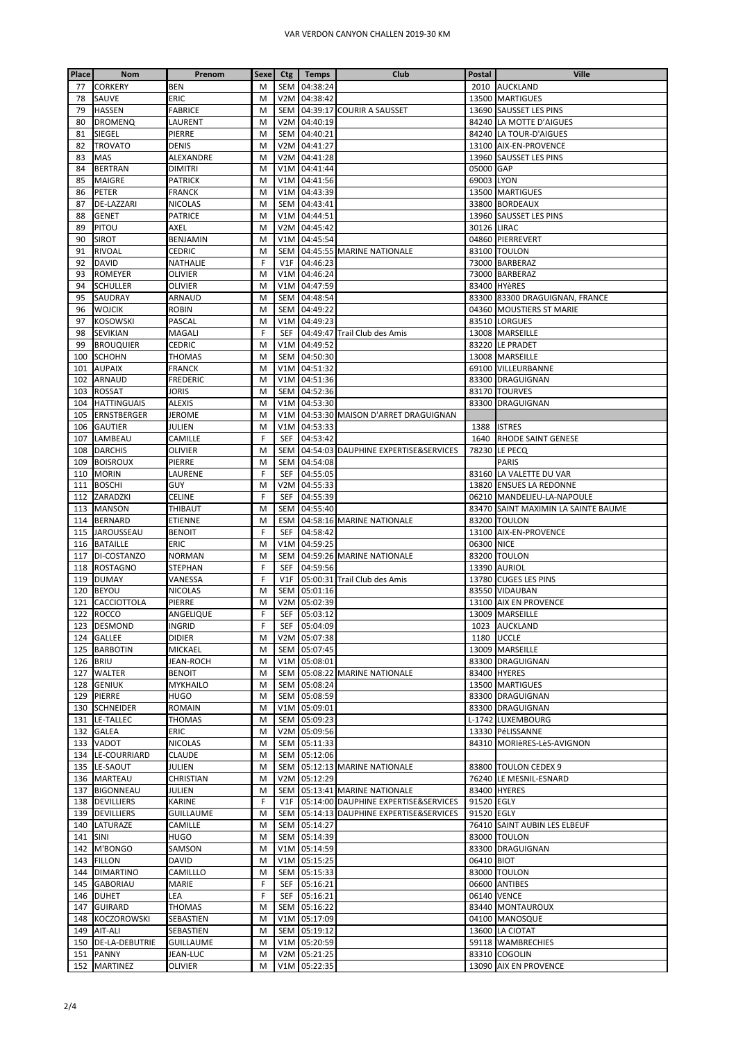| Place    | <b>Nom</b>         | Prenom           | <b>Sexe</b> | Ctg                            | Temps        | Club                                 | Postal      | <b>Ville</b>                        |
|----------|--------------------|------------------|-------------|--------------------------------|--------------|--------------------------------------|-------------|-------------------------------------|
| 77       | <b>CORKERY</b>     | <b>BEN</b>       | M           | <b>SEM</b>                     | 04:38:24     |                                      |             | 2010 AUCKLAND                       |
| 78       | SAUVE              | <b>ERIC</b>      | M           | V <sub>2</sub> M               | 04:38:42     |                                      |             | 13500 MARTIGUES                     |
| 79       | <b>HASSEN</b>      | <b>FABRICE</b>   | M           | <b>SEM</b>                     |              | 04:39:17 COURIR A SAUSSET            |             | 13690 SAUSSET LES PINS              |
| 80       | <b>DROMENQ</b>     | LAURENT          | M           | V <sub>2</sub> M               | 04:40:19     |                                      |             | 84240 LA MOTTE D'AIGUES             |
| 81       | SIEGEL             | PIERRE           | м           | <b>SEM</b>                     | 04:40:21     |                                      |             | 84240 LA TOUR-D'AIGUES              |
| 82       | <b>TROVATO</b>     | <b>DENIS</b>     | M           | V <sub>2</sub> M               | 04:41:27     |                                      |             | 13100 AIX-EN-PROVENCE               |
| 83       | MAS                | ALEXANDRE        | M           | V <sub>2</sub> M               | 04:41:28     |                                      |             | 13960 SAUSSET LES PINS              |
| 84       | <b>BERTRAN</b>     | <b>DIMITRI</b>   | M           | V1M                            | 04:41:44     |                                      | 05000 GAP   |                                     |
| 85       | MAIGRE             | PATRICK          | M           | V1M                            | 04:41:56     |                                      | 69003 LYON  |                                     |
| 86       | PETER              | FRANCK           | M           | V1M                            | 04:43:39     |                                      |             | 13500 MARTIGUES                     |
| 87       | <b>DE-LAZZARI</b>  | NICOLAS          | M           | <b>SEM</b>                     | 04:43:41     |                                      |             | 33800 BORDEAUX                      |
| 88       | <b>GENET</b>       | PATRICE          | M           | V1M                            | 04:44:51     |                                      |             | 13960 SAUSSET LES PINS              |
| 89       | PITOU              | AXEL             | M           | V <sub>2</sub> M               | 04:45:42     |                                      | 30126 LIRAC |                                     |
| 90       | <b>SIROT</b>       | BENJAMIN         | M           | V1M                            | 04:45:54     |                                      |             | 04860 PIERREVERT                    |
| 91       | <b>RIVOAL</b>      | CEDRIC           | M           | <b>SEM</b>                     |              | 04:45:55 MARINE NATIONALE            |             | 83100 TOULON                        |
| 92       | <b>DAVID</b>       | NATHALIE         | F           | V1F                            | 04:46:23     |                                      |             | 73000 BARBERAZ                      |
| 93       | <b>ROMEYER</b>     | olivier          | М           | V1M                            | 04:46:24     |                                      |             | 73000 BARBERAZ                      |
| 94       | <b>SCHULLER</b>    | OLIVIER          | M           | V1M                            | 04:47:59     |                                      |             | 83400 HYèRES                        |
| 95       | SAUDRAY            | ARNAUD           | M           | <b>SEM</b>                     | 04:48:54     |                                      |             | 83300 83300 DRAGUIGNAN, FRANCE      |
| 96       | <b>WOJCIK</b>      | <b>ROBIN</b>     | M           | SEM                            | 04:49:22     |                                      |             | 04360 MOUSTIERS ST MARIE            |
| 97       | <b>KOSOWSKI</b>    | PASCAL           | M           | V1M                            | 04:49:23     |                                      |             | 83510 LORGUES                       |
| 98       | <b>SEVIKIAN</b>    | MAGALI           | F           | <b>SEF</b>                     |              | 04:49:47 Trail Club des Amis         |             | 13008 MARSEILLE                     |
| 99       | <b>BROUQUIER</b>   | CEDRIC           | M           | V1M                            | 04:49:52     |                                      |             | 83220 LE PRADET                     |
| 100      | <b>SCHOHN</b>      | THOMAS           | М           | <b>SEM</b>                     | 04:50:30     |                                      |             | 13008 MARSEILLE                     |
| 101      | <b>AUPAIX</b>      | <b>FRANCK</b>    | M           | V1M                            | 04:51:32     |                                      |             | 69100 VILLEURBANNE                  |
| 102      | <b>ARNAUD</b>      | FREDERIC         | M           | V1M                            | 04:51:36     |                                      |             | 83300 DRAGUIGNAN                    |
| 103      | <b>ROSSAT</b>      | Joris            | M           | <b>SEM</b>                     | 04:52:36     |                                      |             | 83170 TOURVES                       |
| 104      | <b>HATTINGUAIS</b> | <b>ALEXIS</b>    | M           | V1M                            | 04:53:30     |                                      |             | 83300 DRAGUIGNAN                    |
| 105      | <b>ERNSTBERGER</b> | JEROME           | M           | V1M                            |              | 04:53:30 MAISON D'ARRET DRAGUIGNAN   |             |                                     |
| 106      | <b>GAUTIER</b>     | JULIEN           | M           | V1M                            | 04:53:33     |                                      |             | 1388 ISTRES                         |
| 107      | LAMBEAU            | CAMILLE          | F           | <b>SEF</b>                     | 04:53:42     |                                      |             | 1640 RHODE SAINT GENESE             |
| 108      | <b>DARCHIS</b>     | OLIVIER          | M           | <b>SEM</b>                     |              | 04:54:03 DAUPHINE EXPERTISE&SERVICES |             | 78230 LE PECQ                       |
| 109      | <b>BOISROUX</b>    | PIERRE           | M           | SEM                            | 04:54:08     |                                      |             | <b>PARIS</b>                        |
| 110      | <b>MORIN</b>       | LAURENE          | F           | <b>SEF</b>                     | 04:55:05     |                                      |             | 83160 LA VALETTE DU VAR             |
| 111      | <b>BOSCHI</b>      | GUY              | M           | V <sub>2</sub> M               | 04:55:33     |                                      |             | 13820 ENSUES LA REDONNE             |
| 112      | ZARADZKI           | CELINE           | F           | <b>SEF</b>                     | 04:55:39     |                                      |             | 06210 MANDELIEU-LA-NAPOULE          |
| 113      | <b>MANSON</b>      | THIBAUT          | M           | <b>SEM</b>                     | 04:55:40     |                                      |             | 83470 SAINT MAXIMIN LA SAINTE BAUME |
| 114      | <b>BERNARD</b>     | ETIENNE          | M           | ESM                            |              | 04:58:16 MARINE NATIONALE            |             | 83200 TOULON                        |
| 115      | <b>JAROUSSEAU</b>  | <b>BENOIT</b>    | F           | SEF                            | 04:58:42     |                                      |             | 13100 AIX-EN-PROVENCE               |
| 116      | <b>BATAILLE</b>    | ERIC             | M           | V1M                            | 04:59:25     |                                      | 06300 NICE  |                                     |
| 117      | DI-COSTANZO        | NORMAN           | M           | <b>SEM</b>                     |              | 04:59:26 MARINE NATIONALE            |             | 83200 TOULON                        |
| 118      | <b>ROSTAGNO</b>    | STEPHAN          | F           | SEF                            | 04:59:56     |                                      |             | 13390 AURIOL                        |
| 119      |                    |                  | F           | V1F                            |              |                                      |             | 13780 CUGES LES PINS                |
|          | <b>DUMAY</b>       | VANESSA          |             |                                |              | 05:00:31 Trail Club des Amis         |             |                                     |
| 120      | <b>BEYOU</b>       | NICOLAS          | M           | <b>SEM</b>                     | 05:01:16     |                                      |             | 83550 VIDAUBAN                      |
| 121      | <b>CACCIOTTOLA</b> | PIERRE           | M<br>F      | V <sub>2</sub> M<br><b>SEF</b> | 05:02:39     |                                      |             | 13100 AIX EN PROVENCE               |
| 122      | <b>ROCCO</b>       | ANGELIQUE        |             |                                | 05:03:12     |                                      |             | 13009 MARSEILLE                     |
|          | 123 DESMOND        | INGRID           | F           |                                | SEF 05:04:09 |                                      |             | 1023 AUCKLAND                       |
|          | 124 GALLEE         | didier           | M           | V <sub>2</sub> M               | 05:07:38     |                                      |             | 1180 UCCLE                          |
|          | 125 BARBOTIN       | MICKAEL          | M           | SEM                            | 05:07:45     |                                      |             | 13009 MARSEILLE                     |
| 126 BRIU |                    | <b>JEAN-ROCH</b> | м           | V1M                            | 05:08:01     |                                      |             | 83300 DRAGUIGNAN                    |
| 127      | <b>WALTER</b>      | <b>BENOIT</b>    | M           | <b>SEM</b>                     |              | 05:08:22 MARINE NATIONALE            |             | 83400 HYERES                        |
| 128      | <b>GENIUK</b>      | MYKHAILO         | M           | <b>SEM</b>                     | 05:08:24     |                                      |             | 13500 MARTIGUES                     |
| 129      | <b>PIERRE</b>      | HUGO             | M           | <b>SEM</b>                     | 05:08:59     |                                      |             | 83300 DRAGUIGNAN                    |
|          | 130 SCHNEIDER      | ROMAIN           | M           | V1M                            | 05:09:01     |                                      |             | 83300 DRAGUIGNAN                    |
| 131      | <b>LE-TALLEC</b>   | THOMAS           | м           | <b>SEM</b>                     | 05:09:23     |                                      |             | L-1742 LUXEMBOURG                   |
| 132      | <b>GALEA</b>       | ERIC             | M           | V <sub>2</sub> M               | 05:09:56     |                                      |             | 13330 PéLISSANNE                    |
|          | 133 VADOT          | NICOLAS          | M           | SEM                            | 05:11:33     |                                      |             | 84310 MORIÈRES-LÈS-AVIGNON          |
| 134      | LE-COURRIARD       | <b>CLAUDE</b>    | M           | SEM                            | 05:12:06     |                                      |             |                                     |
| 135      | LE-SAOUT           | JULIEN           | M           | <b>SEM</b>                     |              | 05:12:13 MARINE NATIONALE            |             | 83800 TOULON CEDEX 9                |
|          | 136 MARTEAU        | CHRISTIAN        | M           | V <sub>2</sub> M               | 05:12:29     |                                      |             | 76240 LE MESNIL-ESNARD              |
| 137      | <b>BIGONNEAU</b>   | JULIEN           | M           | <b>SEM</b>                     |              | 05:13:41 MARINE NATIONALE            |             | 83400 HYERES                        |
|          | 138 DEVILLIERS     | KARINE           | F           | V1F                            |              | 05:14:00 DAUPHINE EXPERTISE&SERVICES | 91520 EGLY  |                                     |
|          | 139 DEVILLIERS     | <b>GUILLAUME</b> | M           | <b>SEM</b>                     |              | 05:14:13 DAUPHINE EXPERTISE&SERVICES | 91520 EGLY  |                                     |
|          | 140 LATURAZE       | CAMILLE          | M           | SEM                            | 05:14:27     |                                      |             | 76410 SAINT AUBIN LES ELBEUF        |
| 141      | SINI               | HUGO             | M           | <b>SEM</b>                     | 05:14:39     |                                      |             | 83000 TOULON                        |
| 142      | M'BONGO            | SAMSON           | M           | V1M                            | 05:14:59     |                                      |             | 83300 DRAGUIGNAN                    |
| 143      | <b>FILLON</b>      | DAVID            | м           | V1M                            | 05:15:25     |                                      | 06410 BIOT  |                                     |
| 144      | <b>DIMARTINO</b>   | CAMILLLO         | M           | SEM                            | 05:15:33     |                                      |             | 83000 TOULON                        |
|          | 145 GABORIAU       | MARIE            | F           | SEF                            | 05:16:21     |                                      |             | 06600 ANTIBES                       |
| 146      | <b>DUHET</b>       | LEA              | F           | <b>SEF</b>                     | 05:16:21     |                                      | 06140 VENCE |                                     |
| 147      | <b>GUIRARD</b>     | THOMAS           | M           | SEM                            | 05:16:22     |                                      |             | 83440 MONTAUROUX                    |
| 148      | <b>KOCZOROWSKI</b> | SEBASTIEN        | M           | V1M                            | 05:17:09     |                                      |             | 04100 MANOSQUE                      |
|          | 149 AIT-ALI        | SEBASTIEN        | M           | SEM                            | 05:19:12     |                                      |             | 13600 LA CIOTAT                     |
|          | 150 DE-LA-DEBUTRIE | <b>GUILLAUME</b> | м           | V1M                            | 05:20:59     |                                      |             | 59118 WAMBRECHIES                   |
|          | 151 PANNY          | JEAN-LUC         | м           | V2M                            | 05:21:25     |                                      |             | 83310 COGOLIN                       |
|          | 152 MARTINEZ       | OLIVIER          | м           | V1M                            | 05:22:35     |                                      |             | 13090 AIX EN PROVENCE               |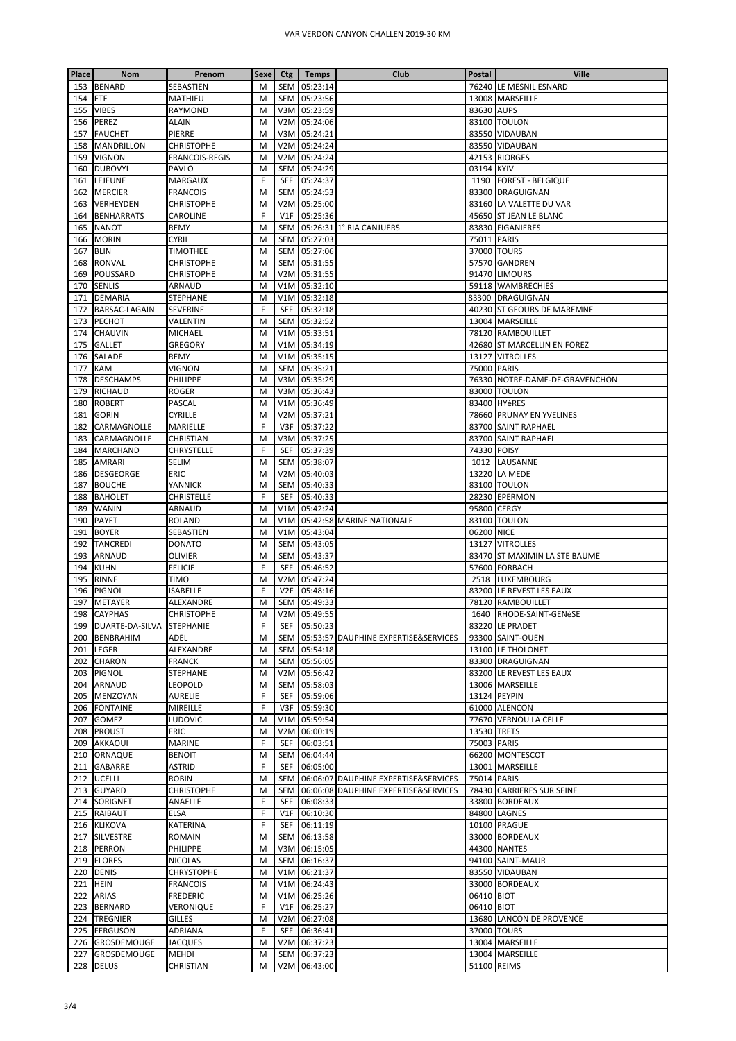| Place      | Nom                           | Prenom                        |        | Sexe Ctg          | Temps                | Club                                 | <b>Postal</b> | Ville                                            |
|------------|-------------------------------|-------------------------------|--------|-------------------|----------------------|--------------------------------------|---------------|--------------------------------------------------|
|            | 153 BENARD                    | SEBASTIEN                     | M      | SEM               | 05:23:14             |                                      |               | 76240 LE MESNIL ESNARD                           |
| 154 ETE    |                               | MATHIEU                       | M      | SEM               | 05:23:56             |                                      |               | 13008 MARSEILLE                                  |
|            | 155 VIBES                     | RAYMOND                       | M      | V3M               | 05:23:59             |                                      | 83630 AUPS    |                                                  |
|            | 156 PEREZ                     | ALAIN                         | M      | V <sub>2</sub> M  | 05:24:06             |                                      |               | 83100 TOULON                                     |
| 157        | <b>FAUCHET</b>                | PIERRE                        | M      | V3M               | 05:24:21             |                                      |               | 83550 VIDAUBAN                                   |
|            | 158 MANDRILLON                | <b>CHRISTOPHE</b>             | M      | V <sub>2</sub> M  | 05:24:24             |                                      |               | 83550 VIDAUBAN                                   |
| 159        | <b>VIGNON</b>                 | <b>FRANCOIS-REGIS</b>         | M      | V <sub>2</sub> M  | 05:24:24             |                                      |               | 42153 RIORGES                                    |
|            | 160 DUBOVYI                   | PAVLO                         | M      | SEM               | 05:24:29             |                                      | 03194 KYIV    |                                                  |
|            | 161 LEJEUNE                   | MARGAUX                       | F      | SEF               | 05:24:37             |                                      |               | 1190 FOREST - BELGIQUE                           |
|            | 162 MERCIER                   | <b>FRANCOIS</b>               | M      | SEM               | 05:24:53             |                                      |               | 83300 DRAGUIGNAN                                 |
|            | 163 VERHEYDEN                 | <b>CHRISTOPHE</b>             | M      | V <sub>2</sub> M  | 05:25:00             |                                      |               | 83160 LA VALETTE DU VAR                          |
|            | 164 BENHARRATS                | CAROLINE                      | F      | V1F               | 05:25:36             |                                      |               | 45650 ST JEAN LE BLANC                           |
|            | 165 NANOT                     | REMY                          | M      | <b>SEM</b>        |                      | 05:26:31 1° RIA CANJUERS             |               | 83830 FIGANIERES                                 |
| 166        | <b>MORIN</b>                  | CYRIL                         | M      | <b>SEM</b>        | 05:27:03             |                                      | 75011 PARIS   |                                                  |
| 167 BLIN   |                               | TIMOTHEE                      | M      | SEM               | 05:27:06             |                                      | 37000 TOURS   |                                                  |
|            | 168 RONVAL<br>169 POUSSARD    | <b>CHRISTOPHE</b>             | M<br>M | SEM<br>V2M        | 05:31:55<br>05:31:55 |                                      |               | 57570 GANDREN<br>91470 LIMOURS                   |
| 170        | <b>SENLIS</b>                 | CHRISTOPHE<br>ARNAUD          | M      | V1M               | 05:32:10             |                                      |               | 59118 WAMBRECHIES                                |
| 171        | <b>DEMARIA</b>                | <b>STEPHANE</b>               | M      | V1M               | 05:32:18             |                                      |               | 83300 DRAGUIGNAN                                 |
|            | 172 BARSAC-LAGAIN             | <b>SEVERINE</b>               | F      | SEF               | 05:32:18             |                                      |               | 40230 ST GEOURS DE MAREMNE                       |
|            | 173 PECHOT                    | VALENTIN                      | M      | SEM               | 05:32:52             |                                      |               | 13004 MARSEILLE                                  |
|            | 174 CHAUVIN                   | MICHAEL                       | M      | V1M               | 05:33:51             |                                      |               | 78120 RAMBOUILLET                                |
| 175        | <b>GALLET</b>                 | GREGORY                       | M      | V1M               | 05:34:19             |                                      |               | 42680 ST MARCELLIN EN FOREZ                      |
|            | 176 SALADE                    | REMY                          | M      | V1M               | 05:35:15             |                                      |               | 13127 VITROLLES                                  |
| 177        | KAM                           | VIGNON                        | M      | SEM               | 05:35:21             |                                      | 75000 PARIS   |                                                  |
| 178        | <b>DESCHAMPS</b>              | PHILIPPE                      | M      | V3M               | 05:35:29             |                                      |               | 76330 NOTRE-DAME-DE-GRAVENCHON                   |
| 179        | <b>RICHAUD</b>                | ROGER                         | M      | V3M               | 05:36:43             |                                      |               | 83000 TOULON                                     |
| 180        | <b>ROBERT</b>                 | <b>PASCAL</b>                 | M      | V1M               | 05:36:49             |                                      |               | 83400 HYèRES                                     |
|            | 181 GORIN                     | <b>CYRILLE</b>                | M      | V <sub>2</sub> M  | 05:37:21             |                                      |               | 78660 PRUNAY EN YVELINES                         |
|            | 182 CARMAGNOLLE               | MARIELLE                      | F      | V3F               | 05:37:22             |                                      |               | 83700 SAINT RAPHAEL                              |
|            | 183 CARMAGNOLLE               | CHRISTIAN                     | M      | V3M               | 05:37:25             |                                      |               | 83700 SAINT RAPHAEL                              |
|            | 184 MARCHAND                  | CHRYSTELLE                    | F      | <b>SEF</b>        | 05:37:39             |                                      | 74330 POISY   |                                                  |
|            | 185 AMRARI                    | SELIM                         | M      | SEM               | 05:38:07             |                                      |               | 1012 LAUSANNE                                    |
|            | 186 DESGEORGE                 | <b>ERIC</b>                   | M      | V <sub>2</sub> M  | 05:40:03             |                                      |               | 13220 LA MEDE                                    |
|            | 187 BOUCHE                    | YANNICK                       | M      | <b>SEM</b>        | 05:40:33             |                                      |               | 83100 TOULON                                     |
|            | 188 BAHOLET                   | CHRISTELLE                    | F      | SEF               | 05:40:33             |                                      |               | 28230 EPERMON                                    |
|            | 189 WANIN                     | ARNAUD                        | M      | V1M               | 05:42:24             |                                      | 95800 CERGY   |                                                  |
|            | 190 PAYET                     | ROLAND                        | M      | V1M               |                      | 05:42:58 MARINE NATIONALE            |               | 83100 TOULON                                     |
|            | 191 BOYER                     | SEBASTIEN                     | M      | V1M               | 05:43:04             |                                      | 06200 NICE    |                                                  |
|            | 192 TANCREDI                  | <b>DONATO</b><br>OLIVIER      | M<br>M | SEM<br>SEM        | 05:43:05<br>05:43:37 |                                      |               | 13127 VITROLLES<br>83470 ST MAXIMIN LA STE BAUME |
| 193<br>194 | <b>ARNAUD</b><br><b>KUHN</b>  | FELICIE                       | F      | SEF               | 05:46:52             |                                      |               | 57600 FORBACH                                    |
| 195        | RINNE                         | TIMO                          | M      | V <sub>2</sub> M  | 05:47:24             |                                      |               | 2518 LUXEMBOURG                                  |
| 196        | <b>PIGNOL</b>                 | ISABELLE                      | F      | V <sub>2F</sub>   | 05:48:16             |                                      |               | 83200 LE REVEST LES EAUX                         |
|            | 197 METAYER                   | ALEXANDRE                     | M      | SEM               | 05:49:33             |                                      |               | 78120 RAMBOUILLET                                |
|            | 198 CAYPHAS                   | <b>CHRISTOPHE</b>             | M      |                   | V2M 05:49:55         |                                      |               | 1640 RHODE-SAINT-GENèSE                          |
|            | 199 DUARTE-DA-SILVA STEPHANIE |                               | F      | SEF               | 05:50:23             |                                      |               | 83220 LE PRADET                                  |
|            | 200 BENBRAHIM                 | ADEL                          | M      | SEM               |                      | 05:53:57 DAUPHINE EXPERTISE&SERVICES |               | 93300 SAINT-OUEN                                 |
|            | 201 LEGER                     | ALEXANDRE                     | M      | <b>SEM</b>        | 05:54:18             |                                      |               | 13100 LE THOLONET                                |
|            | 202 CHARON                    | <b>FRANCK</b>                 | M      | <b>SEM</b>        | 05:56:05             |                                      |               | 83300 DRAGUIGNAN                                 |
|            | 203 PIGNOL                    | <b>STEPHANE</b>               | M      | V <sub>2</sub> M  | 05:56:42             |                                      |               | 83200 LE REVEST LES EAUX                         |
|            | 204 ARNAUD                    | LEOPOLD                       | M      | SEM               | 05:58:03             |                                      |               | 13006 MARSEILLE                                  |
|            | 205 MENZOYAN                  | AURELIE                       | F      | SEF               | 05:59:06             |                                      |               | 13124 PEYPIN                                     |
|            | 206 FONTAINE                  | MIREILLE                      | F      | V3F               | 05:59:30             |                                      |               | 61000 ALENCON                                    |
| 207        | <b>GOMEZ</b>                  | LUDOVIC                       | M      | V1M               | 05:59:54             |                                      |               | 77670 VERNOU LA CELLE                            |
|            | 208 PROUST                    | ERIC                          | M      | V <sub>2</sub> M  | 06:00:19             |                                      | 13530 TRETS   |                                                  |
|            | 209 AKKAOUI                   | MARINE                        | F      | <b>SEF</b>        | 06:03:51             |                                      | 75003 PARIS   |                                                  |
|            | 210 ORNAQUE                   | <b>BENOIT</b>                 | M      | <b>SEM</b>        | 06:04:44             |                                      |               | 66200 MONTESCOT                                  |
|            | 211 GABARRE<br>212 UCELLI     | <b>ASTRID</b><br><b>ROBIN</b> | F<br>M | SEF<br><b>SEM</b> | 06:05:00             | 06:06:07 DAUPHINE EXPERTISE&SERVICES | 75014 PARIS   | 13001 MARSEILLE                                  |
|            | 213 GUYARD                    | CHRISTOPHE                    | M      | <b>SEM</b>        |                      | 06:06:08 DAUPHINE EXPERTISE&SERVICES |               | 78430 CARRIERES SUR SEINE                        |
|            | 214 SORIGNET                  | ANAELLE                       | F      | SEF               | 06:08:33             |                                      |               | 33800 BORDEAUX                                   |
|            | 215 RAIBAUT                   | ELSA                          | F      | V1F               | 06:10:30             |                                      |               | 84800 LAGNES                                     |
|            | 216 KLIKOVA                   | KATERINA                      | F      | SEF               | 06:11:19             |                                      |               | 10100 PRAGUE                                     |
|            | 217 SILVESTRE                 | <b>ROMAIN</b>                 | M      | SEM               | 06:13:58             |                                      |               | 33000 BORDEAUX                                   |
|            | 218 PERRON                    | PHILIPPE                      | M      | V3M               | 06:15:05             |                                      |               | 44300 NANTES                                     |
|            | 219 FLORES                    | NICOLAS                       | M      | SEM               | 06:16:37             |                                      |               | 94100 SAINT-MAUR                                 |
|            | 220 DENIS                     | CHRYSTOPHE                    | M      | V1M               | 06:21:37             |                                      |               | 83550 VIDAUBAN                                   |
|            | 221 HEIN                      | FRANCOIS                      | M      | V1M               | 06:24:43             |                                      |               | 33000 BORDEAUX                                   |
|            | 222 ARIAS                     | FREDERIC                      | M      | V1M               | 06:25:26             |                                      | 06410 BIOT    |                                                  |
|            | 223 BERNARD                   | Veronique                     | F      | V1F               | 06:25:27             |                                      | 06410 BIOT    |                                                  |
|            | 224 TREGNIER                  | <b>GILLES</b>                 | M      | V <sub>2</sub> M  | 06:27:08             |                                      |               | 13680 LANCON DE PROVENCE                         |
|            | 225 FERGUSON                  | ADRIANA                       | F      | SEF               | 06:36:41             |                                      |               | 37000 TOURS                                      |
|            | 226 GROSDEMOUGE               | <b>JACQUES</b>                | M      | V <sub>2</sub> M  | 06:37:23             |                                      |               | 13004 MARSEILLE                                  |
|            | 227 GROSDEMOUGE               | <b>MEHDI</b>                  | M      |                   | SEM 06:37:23         |                                      |               | 13004 MARSEILLE                                  |
|            | 228 DELUS                     | <b>CHRISTIAN</b>              | M      |                   | V2M 06:43:00         |                                      | 51100 REIMS   |                                                  |